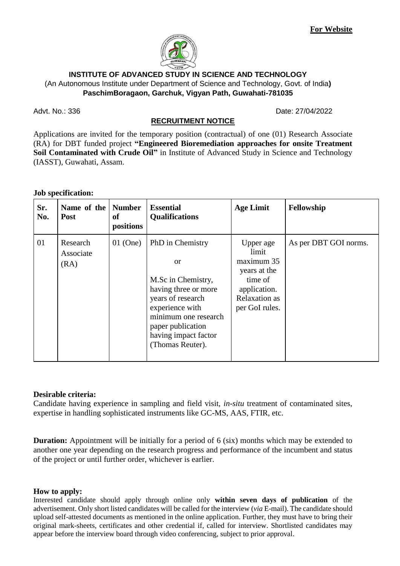

## **INSTITUTE OF ADVANCED STUDY IN SCIENCE AND TECHNOLOGY** (An Autonomous Institute under Department of Science and Technology, Govt. of India**) PaschimBoragaon, Garchuk, Vigyan Path, Guwahati-781035**

Advt. No.: 336 Date: 27/04/2022

# **RECRUITMENT NOTICE**

Applications are invited for the temporary position (contractual) of one (01) Research Associate (RA) for DBT funded project **"Engineered Bioremediation approaches for onsite Treatment Soil Contaminated with Crude Oil"** in Institute of Advanced Study in Science and Technology (IASST), Guwahati, Assam.

#### **Job specification:**

| Sr.<br>No. | Name of the Number<br><b>Post</b> | of<br>positions | <b>Essential</b><br><b>Qualifications</b>                                                                                                                                                                   | <b>Age Limit</b>                                                                                               | Fellowship            |
|------------|-----------------------------------|-----------------|-------------------------------------------------------------------------------------------------------------------------------------------------------------------------------------------------------------|----------------------------------------------------------------------------------------------------------------|-----------------------|
| 01         | Research<br>Associate<br>(RA)     | $01$ (One)      | PhD in Chemistry<br>$\alpha$<br>M.Sc in Chemistry,<br>having three or more<br>years of research<br>experience with<br>minimum one research<br>paper publication<br>having impact factor<br>(Thomas Reuter). | Upper age<br>limit<br>maximum 35<br>years at the<br>time of<br>application.<br>Relaxation as<br>per GoI rules. | As per DBT GOI norms. |

## **Desirable criteria:**

Candidate having experience in sampling and field visit, *in-situ* treatment of contaminated sites, expertise in handling sophisticated instruments like GC-MS, AAS, FTIR, etc.

**Duration:** Appointment will be initially for a period of 6 (six) months which may be extended to another one year depending on the research progress and performance of the incumbent and status of the project or until further order, whichever is earlier.

#### **How to apply:**

Interested candidate should apply through online only **within seven days of publication** of the advertisement. Only short listed candidates will be called for the interview (*via* E-mail). The candidate should upload self-attested documents as mentioned in the online application. Further, they must have to bring their original mark-sheets, certificates and other credential if, called for interview. Shortlisted candidates may appear before the interview board through video conferencing, subject to prior approval.